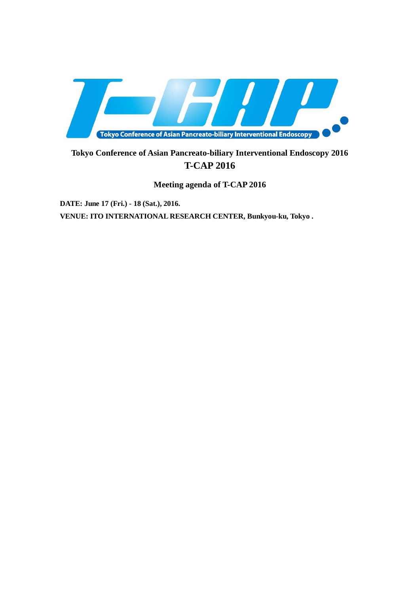

# **Tokyo Conference of Asian Pancreato-biliary Interventional Endoscopy 2016 T-CAP 2016**

**Meeting agenda of T-CAP 2016**

**DATE: June 17 (Fri.) - 18 (Sat.), 2016. VENUE: ITO INTERNATIONAL RESEARCH CENTER, Bunkyou-ku, Tokyo .**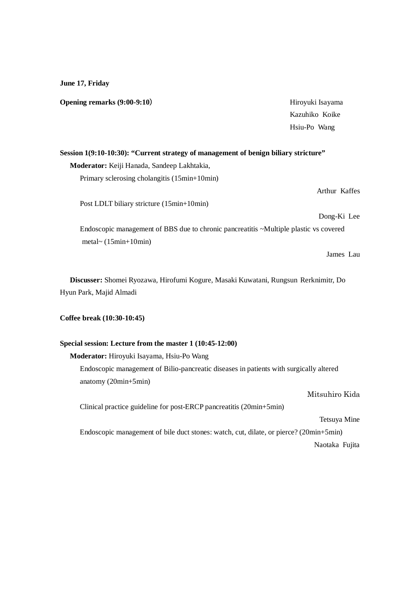**June 17, Friday**

**Opening remarks** (9:00-9:10) Hiroyuki Isayama Kazuhiko Koike Hsiu-Po Wang **Session 1(9:10-10:30): "Current strategy of management of benign biliary stricture" Moderator:** Keiji Hanada, Sandeep Lakhtakia, Primary sclerosing cholangitis (15min+10min) Arthur Kaffes Post LDLT biliary stricture (15min+10min) Dong-Ki Lee Endoscopic management of BBS due to chronic pancreatitis ~Multiple plastic vs covered metal~ (15min+10min) James Lau

**Discusser:** Shomei Ryozawa, Hirofumi Kogure, Masaki Kuwatani, Rungsun Rerknimitr, Do Hyun Park, Majid Almadi

**Coffee break (10:30-10:45)**

# **Special session: Lecture from the master 1 (10:45-12:00)**

**Moderator:** Hiroyuki Isayama, Hsiu-Po Wang

Endoscopic management of Bilio-pancreatic diseases in patients with surgically altered anatomy (20min+5min)

Clinical practice guideline for post-ERCP pancreatitis (20min+5min)

Tetsuya Mine

Endoscopic management of bile duct stones: watch, cut, dilate, or pierce? (20min+5min) Naotaka Fujita

Mitsuhiro Kida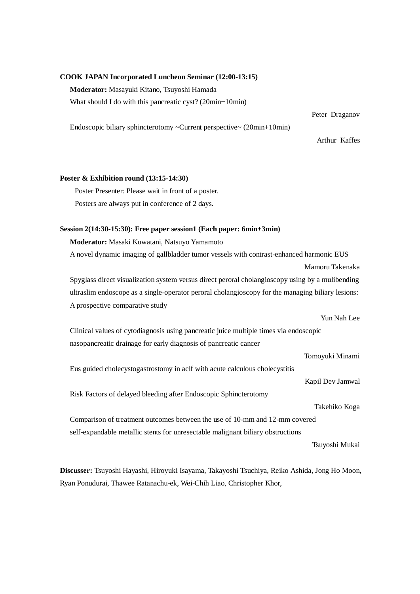## **COOK JAPAN Incorporated Luncheon Seminar (12:00-13:15)**

**Moderator:** Masayuki Kitano, Tsuyoshi Hamada

What should I do with this pancreatic cyst? (20min+10min)

Endoscopic biliary sphincterotomy ~Current perspective~ (20min+10min)

Arthur Kaffes

Peter Draganov

#### **Poster & Exhibition round (13:15-14:30)**

 Poster Presenter: Please wait in front of a poster. Posters are always put in conference of 2 days.

### **Session 2(14:30-15:30): Free paper session1 (Each paper: 6min+3min)**

# **Moderator:** Masaki Kuwatani, Natsuyo Yamamoto

A novel dynamic imaging of gallbladder tumor vessels with contrast-enhanced harmonic EUS Mamoru Takenaka

Spyglass direct visualization system versus direct peroral cholangioscopy using by a mulibending ultraslim endoscope as a single-operator peroral cholangioscopy for the managing biliary lesions: A prospective comparative study

# Yun Nah Lee Clinical values of cytodiagnosis using pancreatic juice multiple times via endoscopic nasopancreatic drainage for early diagnosis of pancreatic cancer

Tomoyuki Minami

Eus guided cholecystogastrostomy in aclf with acute calculous cholecystitis

Kapil Dev Jamwal

Risk Factors of delayed bleeding after Endoscopic Sphincterotomy

Takehiko Koga

Comparison of treatment outcomes between the use of 10-mm and 12-mm covered self-expandable metallic stents for unresectable malignant biliary obstructions

Tsuyoshi Mukai

**Discusser:** Tsuyoshi Hayashi, Hiroyuki Isayama, Takayoshi Tsuchiya, Reiko Ashida, Jong Ho Moon, Ryan Ponudurai, Thawee Ratanachu-ek, Wei-Chih Liao, Christopher Khor,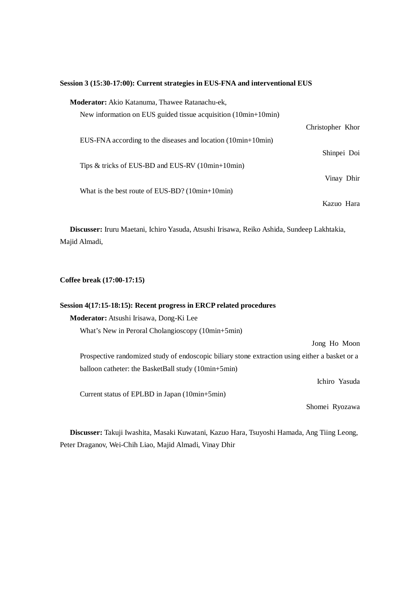# **Session 3 (15:30-17:00): Current strategies in EUS-FNA and interventional EUS**

| <b>Moderator:</b> Akio Katanuma, Thawee Ratanachu-ek,          |                  |
|----------------------------------------------------------------|------------------|
| New information on EUS guided tissue acquisition (10min+10min) |                  |
|                                                                | Christopher Khor |
| EUS-FNA according to the diseases and location $(10min+10min)$ |                  |
|                                                                | Shinpei Doi      |
| Tips $\&$ tricks of EUS-BD and EUS-RV (10min+10min)            |                  |
|                                                                | Vinay Dhir       |
| What is the best route of EUS-BD? $(10min+10min)$              |                  |
|                                                                | Kazuo Hara       |

**Discusser:** Iruru Maetani, Ichiro Yasuda, Atsushi Irisawa, Reiko Ashida, Sundeep Lakhtakia, Majid Almadi,

**Coffee break (17:00-17:15)**

| Session 4(17:15-18:15): Recent progress in ERCP related procedures                             |
|------------------------------------------------------------------------------------------------|
| Moderator: Atsushi Irisawa, Dong-Ki Lee                                                        |
| What's New in Peroral Cholangioscopy (10min+5min)                                              |
| Jong Ho Moon                                                                                   |
| Prospective randomized study of endoscopic biliary stone extraction using either a basket or a |
| balloon catheter: the BasketBall study (10min+5min)                                            |
| Ichiro Yasuda                                                                                  |
| Current status of EPLBD in Japan (10min+5min)                                                  |
| Shomei Ryozawa                                                                                 |

**Discusser:** Takuji Iwashita, Masaki Kuwatani, Kazuo Hara, Tsuyoshi Hamada, Ang Tiing Leong, Peter Draganov, Wei-Chih Liao, Majid Almadi, Vinay Dhir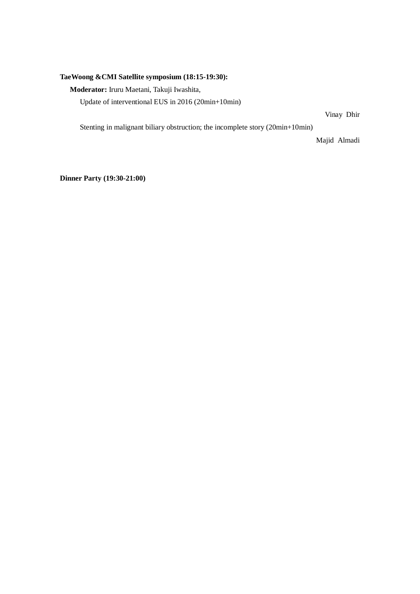# **TaeWoong &CMI Satellite symposium (18:15-19:30):**

**Moderator:** Iruru Maetani, Takuji Iwashita,

Update of interventional EUS in 2016 (20min+10min)

Vinay Dhir

Stenting in malignant biliary obstruction; the incomplete story (20min+10min)

Majid Almadi

**Dinner Party (19:30-21:00)**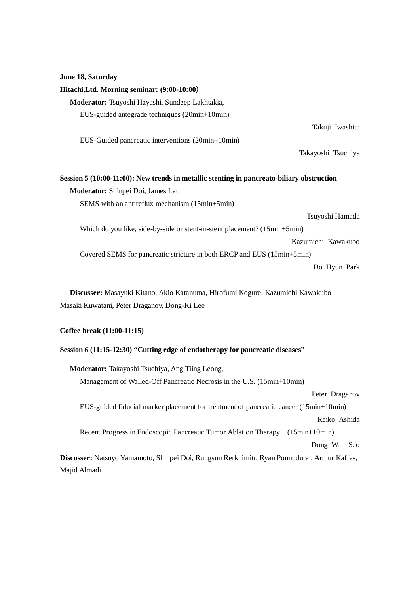# **June 18, Saturday**

| Hitachi, Ltd. Morning seminar: (9:00-10:00)                                               |  |  |
|-------------------------------------------------------------------------------------------|--|--|
| Moderator: Tsuyoshi Hayashi, Sundeep Lakhtakia,                                           |  |  |
| EUS-guided antegrade techniques (20min+10min)                                             |  |  |
| Takuji Iwashita                                                                           |  |  |
| EUS-Guided pancreatic interventions (20min+10min)                                         |  |  |
| Takayoshi Tsuchiya                                                                        |  |  |
|                                                                                           |  |  |
| Session 5 (10:00-11:00): New trends in metallic stenting in pancreato-biliary obstruction |  |  |
| Moderator: Shinpei Doi, James Lau                                                         |  |  |
| SEMS with an antireflux mechanism (15min+5min)                                            |  |  |
| Tsuyoshi Hamada                                                                           |  |  |
| Which do you like, side-by-side or stent-in-stent placement? (15min+5min)                 |  |  |
| Kazumichi Kawakubo                                                                        |  |  |
| Covered SEMS for pancreatic stricture in both ERCP and EUS (15min+5min)                   |  |  |
| Do Hyun Park                                                                              |  |  |
|                                                                                           |  |  |
| Discusser: Masayuki Kitano, Akio Katanuma, Hirofumi Kogure, Kazumichi Kawakubo            |  |  |

Masaki Kuwatani, Peter Draganov, Dong-Ki Lee

# **Coffee break (11:00-11:15)**

# **Session 6 (11:15-12:30) "Cutting edge of endotherapy for pancreatic diseases"**

| <b>Moderator:</b> Takayoshi Tsuchiya, Ang Tiing Leong,                                        |
|-----------------------------------------------------------------------------------------------|
| Management of Walled-Off Pancreatic Necrosis in the U.S. (15min+10min)                        |
| Peter Draganov                                                                                |
| EUS-guided fiducial marker placement for treatment of pancreatic cancer (15min+10min)         |
| Reiko Ashida                                                                                  |
| Recent Progress in Endoscopic Pancreatic Tumor Ablation Therapy<br>$(15min+10min)$            |
| Dong Wan Seo                                                                                  |
| Discusser: Natsuyo Yamamoto, Shinpei Doi, Rungsun Rerknimitr, Ryan Ponnudurai, Arthur Kaffes, |
| Majid Almadi                                                                                  |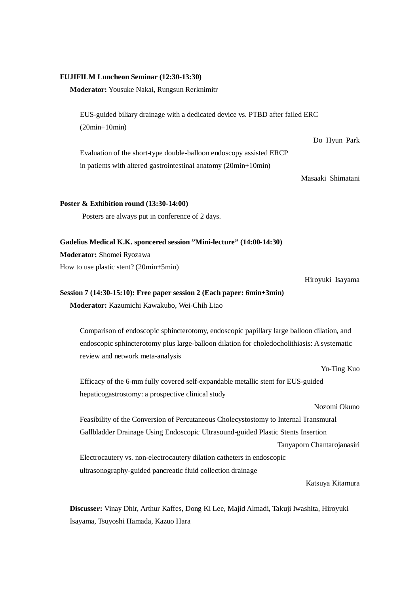#### **FUJIFILM Luncheon Seminar (12:30-13:30)**

### **Moderator:** Yousuke Nakai, Rungsun Rerknimitr

EUS-guided biliary drainage with a dedicated device vs. PTBD after failed ERC (20min+10min)

Evaluation of the short-type double-balloon endoscopy assisted ERCP in patients with altered gastrointestinal anatomy (20min+10min)

Masaaki Shimatani

Do Hyun Park

#### **Poster & Exhibition round (13:30-14:00)**

Posters are always put in conference of 2 days.

### **Gadelius Medical K.K. sponcered session "Mini-lecture" (14:00-14:30)**

**Moderator:** Shomei Ryozawa

How to use plastic stent? (20min+5min)

Hiroyuki Isayama

# **Session 7 (14:30-15:10): Free paper session 2 (Each paper: 6min+3min) Moderator:** Kazumichi Kawakubo, Wei-Chih Liao

Comparison of endoscopic sphincterotomy, endoscopic papillary large balloon dilation, and endoscopic sphincterotomy plus large-balloon dilation for choledocholithiasis: A systematic review and network meta-analysis

Yu-Ting Kuo

Efficacy of the 6-mm fully covered self-expandable metallic stent for EUS-guided hepaticogastrostomy: a prospective clinical study

Nozomi Okuno

Feasibility of the Conversion of Percutaneous Cholecystostomy to Internal Transmural Gallbladder Drainage Using Endoscopic Ultrasound-guided Plastic Stents Insertion

Tanyaporn Chantarojanasiri

Electrocautery vs. non-electrocautery dilation catheters in endoscopic ultrasonography-guided pancreatic fluid collection drainage

Katsuya Kitamura

**Discusser:** Vinay Dhir, Arthur Kaffes, Dong Ki Lee, Majid Almadi, Takuji Iwashita, Hiroyuki Isayama, Tsuyoshi Hamada, Kazuo Hara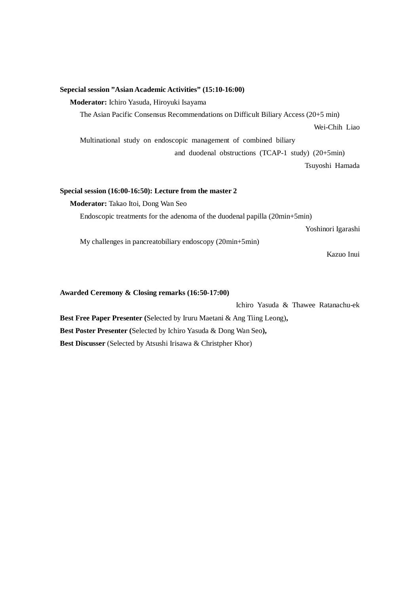## **Sepecial session "Asian Academic Activities" (15:10-16:00)**

**Moderator:** Ichiro Yasuda, Hiroyuki Isayama

The Asian Pacific Consensus Recommendations on Difficult Biliary Access (20+5 min)

Wei-Chih Liao

Multinational study on endoscopic management of combined biliary and duodenal obstructions (TCAP-1 study) (20+5min)

Tsuyoshi Hamada

# **Special session (16:00-16:50): Lecture from the master 2**

**Moderator:** Takao Itoi, Dong Wan Seo

Endoscopic treatments for the adenoma of the duodenal papilla (20min+5min)

Yoshinori Igarashi

My challenges in pancreatobiliary endoscopy (20min+5min)

Kazuo Inui

## **Awarded Ceremony & Closing remarks (16:50-17:00)**

Ichiro Yasuda & Thawee Ratanachu-ek

**Best Free Paper Presenter (**Selected by Iruru Maetani & Ang Tiing Leong)**, Best Poster Presenter (**Selected by Ichiro Yasuda & Dong Wan Seo**),** 

**Best Discusser** (Selected by Atsushi Irisawa & Christpher Khor)